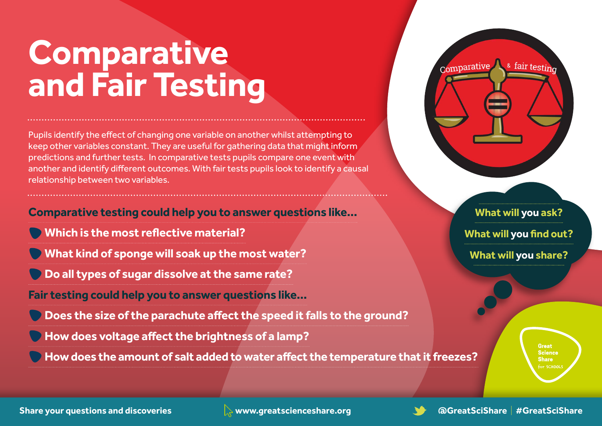## **Comparative and Fair Testing**

Pupils identify the effect of changing one variable on another whilst attempting to keep other variables constant. They are useful for gathering data that might inform predictions and further tests. In comparative tests pupils compare one event with another and identify different outcomes. With fair tests pupils look to identify a causal relationship between two variables.

**Comparative testing could help you to answer questions like...**

- **Which is the most reflective material?**
- **What kind of sponge will soak up the most water?**

 **Do all types of sugar dissolve at the same rate?**

**Fair testing could help you to answer questions like...**

 **Does the size of the parachute affect the speed it falls to the ground?**

 **How does voltage affect the brightness of a lamp?**

 **Howdoes the amount of salt added towater affect the temperature that it freezes?**



#### **What will you ask?**

**What will you find out?**

**What will you share?**

**Great Science Share** 

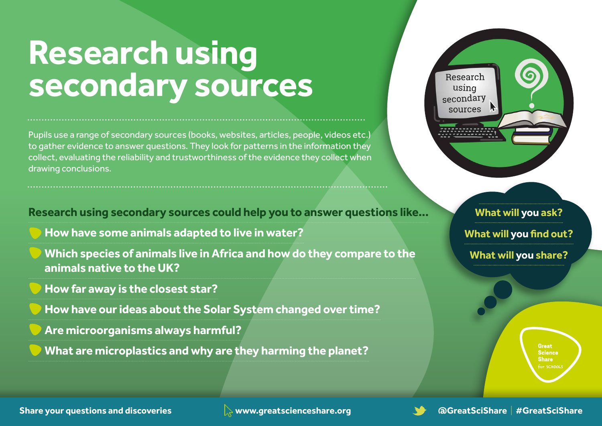#### **Research using secondary sources**

Pupils use a range of secondary sources (books, websites, articles, people, videos etc.) to gather evidence to answer questions. They look for patterns in the information they collect, evaluating the reliability and trustworthiness of the evidence they collect when drawing conclusions.

**Research using secondary sources could help you to answer questions like...**

**How have some animals adapted to live in water?**

**Which species of animals live in Africa and how do they compare to the animals native to the UK?**

**How far away is the closest star?**

**How have our ideas about the Solar System changed over time?**

**Are microorganisms always harmful?**

**What are microplastics and why are they harming the planet?**



**What will you ask?** 

**What will you find out?**

**What will you share?**

**Great Science Share** 

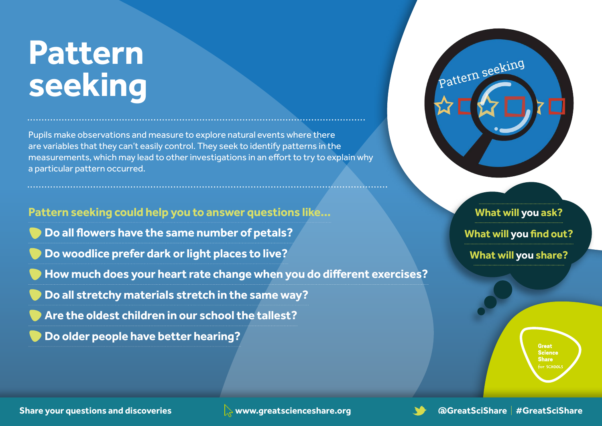## **Pattern seeking**

Pupils make observations and measure to explore natural events where there are variables that they can't easily control. They seek to identify patterns in the measurements, which may lead to other investigations in an effort to try to explain why a particular pattern occurred.

**Pattern seeking could help you to answer questions like... Do all flowers have the same number of petals? Do woodlice prefer dark or light places to live? How much does your heart rate change when you do different exercises? Do all stretchy materials stretch in the same way? Are the oldest children in our school the tallest? Do older people have better hearing?**



**What will you ask?** 

**What will you find out?**

**What will you share?**

**Great Science Share** 

**Share your questions and discoveries www.greatscienceshare.org @GreatSciShare** | **#GreatSciShare**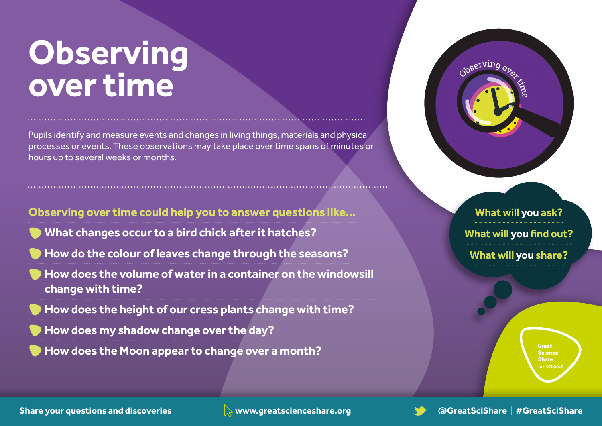## **Observing over time**

Pupils identify and measure events and changes in living things, materials and physical processes or events. These observations may take place over time spans of minutes or hours up to several weeks or months.

**Observing over time could help you to answer questions like... What changes occur to a bird chick after it hatches?**

**How do the colour of leaves change through the seasons?**

**How does the volume of water in a container on the windowsill change with time?**

**How does the height of our cress plants change with time?**

**How does my shadow change over the day?**

**How does the Moon appear to change over a month?**



**What will you ask?** 

**What will you find out?**

**What will you share?**

**Great Science Share**